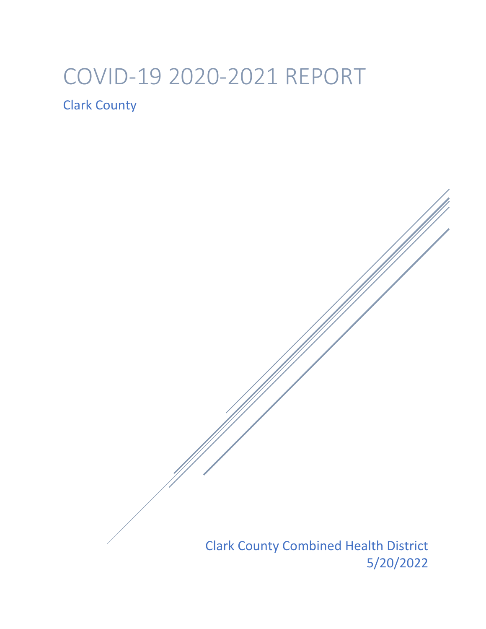# COVID-19 2020-2021 REPORT

Clark County

Clark County Combined Health District 5/20/2022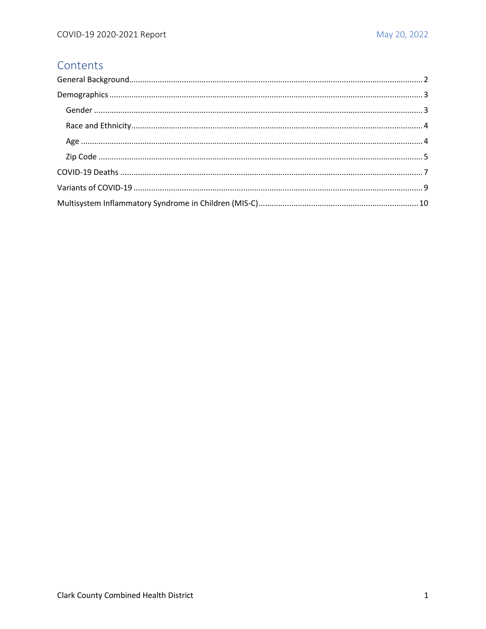## Contents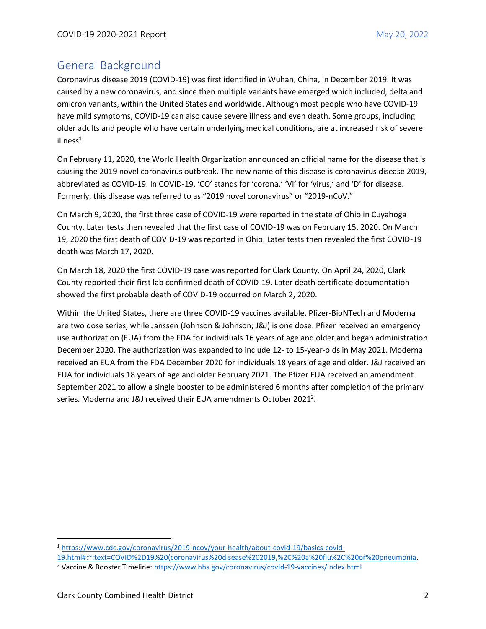## <span id="page-2-0"></span>General Background

Coronavirus disease 2019 (COVID-19) was first identified in Wuhan, China, in December 2019. It was caused by a new coronavirus, and since then multiple variants have emerged which included, delta and omicron variants, within the United States and worldwide. Although most people who have COVID-19 have mild symptoms, COVID-19 can also cause severe illness and even death. Some groups, including older adults and people who have certain underlying medical conditions, are at increased risk of severe illness<sup>1</sup>.

On February 11, 2020, the World Health Organization announced an official name for the disease that is causing the 2019 novel coronavirus outbreak. The new name of this disease is coronavirus disease 2019, abbreviated as COVID-19. In COVID-19, 'CO' stands for 'corona,' 'VI' for 'virus,' and 'D' for disease. Formerly, this disease was referred to as "2019 novel coronavirus" or "2019-nCoV."

On March 9, 2020, the first three case of COVID-19 were reported in the state of Ohio in Cuyahoga County. Later tests then revealed that the first case of COVID-19 was on February 15, 2020. On March 19, 2020 the first death of COVID-19 was reported in Ohio. Later tests then revealed the first COVID-19 death was March 17, 2020.

On March 18, 2020 the first COVID-19 case was reported for Clark County. On April 24, 2020, Clark County reported their first lab confirmed death of COVID-19. Later death certificate documentation showed the first probable death of COVID-19 occurred on March 2, 2020.

Within the United States, there are three COVID-19 vaccines available. Pfizer-BioNTech and Moderna are two dose series, while Janssen (Johnson & Johnson; J&J) is one dose. Pfizer received an emergency use authorization (EUA) from the FDA for individuals 16 years of age and older and began administration December 2020. The authorization was expanded to include 12- to 15-year-olds in May 2021. Moderna received an EUA from the FDA December 2020 for individuals 18 years of age and older. J&J received an EUA for individuals 18 years of age and older February 2021. The Pfizer EUA received an amendment September 2021 to allow a single booster to be administered 6 months after completion of the primary series. Moderna and J&J received their EUA amendments October 2021<sup>2</sup>.

<sup>1</sup> [https://www.cdc.gov/coronavirus/2019-ncov/your-health/about-covid-19/basics-covid-](https://www.cdc.gov/coronavirus/2019-ncov/your-health/about-covid-19/basics-covid-19.html#:~:text=COVID%2D19%20(coronavirus%20disease%202019,%2C%20a%20flu%2C%20or%20pneumonia)

[<sup>19.</sup>html#:~:text=COVID%2D19%20\(coronavirus%20disease%202019,%2C%20a%20flu%2C%20or%20pneumonia.](https://www.cdc.gov/coronavirus/2019-ncov/your-health/about-covid-19/basics-covid-19.html#:~:text=COVID%2D19%20(coronavirus%20disease%202019,%2C%20a%20flu%2C%20or%20pneumonia)

<sup>&</sup>lt;sup>2</sup> Vaccine & Booster Timeline:<https://www.hhs.gov/coronavirus/covid-19-vaccines/index.html>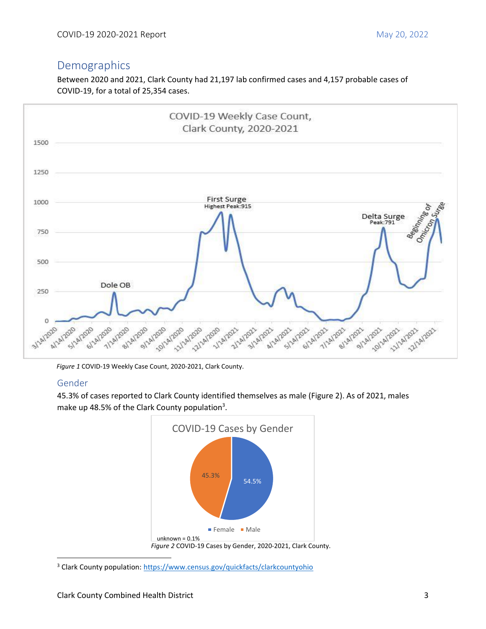# <span id="page-3-0"></span>Demographics

Between 2020 and 2021, Clark County had 21,197 lab confirmed cases and 4,157 probable cases of COVID-19, for a total of 25,354 cases.



*Figure 1* COVID-19 Weekly Case Count, 2020-2021, Clark County.

#### <span id="page-3-1"></span>Gender

45.3% of cases reported to Clark County identified themselves as male (Figure 2). As of 2021, males make up 48.5% of the Clark County population<sup>3</sup>.



<sup>&</sup>lt;sup>3</sup> Clark County population[: https://www.census.gov/quickfacts/clarkcountyohio](https://www.census.gov/quickfacts/clarkcountyohio)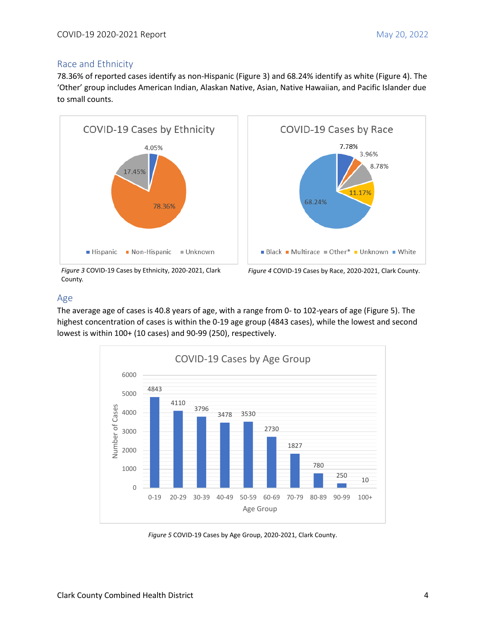#### <span id="page-4-0"></span>Race and Ethnicity

78.36% of reported cases identify as non-Hispanic (Figure 3) and 68.24% identify as white (Figure 4). The 'Other' group includes American Indian, Alaskan Native, Asian, Native Hawaiian, and Pacific Islander due to small counts.



*Figure 3* COVID-19 Cases by Ethnicity, 2020-2021, Clark County*.*



*Figure 4* COVID-19 Cases by Race, 2020-2021, Clark County.

#### <span id="page-4-1"></span>Age

The average age of cases is 40.8 years of age, with a range from 0- to 102-years of age (Figure 5). The highest concentration of cases is within the 0-19 age group (4843 cases), while the lowest and second lowest is within 100+ (10 cases) and 90-99 (250), respectively.



*Figure 5* COVID-19 Cases by Age Group, 2020-2021, Clark County.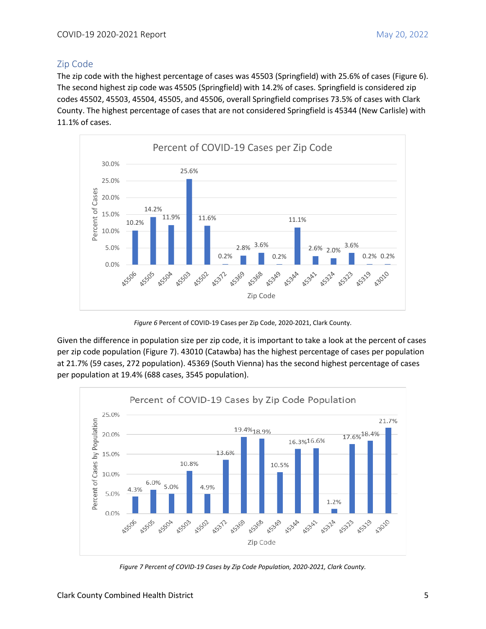#### <span id="page-5-0"></span>Zip Code

The zip code with the highest percentage of cases was 45503 (Springfield) with 25.6% of cases (Figure 6). The second highest zip code was 45505 (Springfield) with 14.2% of cases. Springfield is considered zip codes 45502, 45503, 45504, 45505, and 45506, overall Springfield comprises 73.5% of cases with Clark County. The highest percentage of cases that are not considered Springfield is 45344 (New Carlisle) with 11.1% of cases.



*Figure 6* Percent of COVID-19 Cases per Zip Code, 2020-2021, Clark County.

Given the difference in population size per zip code, it is important to take a look at the percent of cases per zip code population (Figure 7). 43010 (Catawba) has the highest percentage of cases per population at 21.7% (59 cases, 272 population). 45369 (South Vienna) has the second highest percentage of cases per population at 19.4% (688 cases, 3545 population).



*Figure 7 Percent of COVID-19 Cases by Zip Code Population, 2020-2021, Clark County.*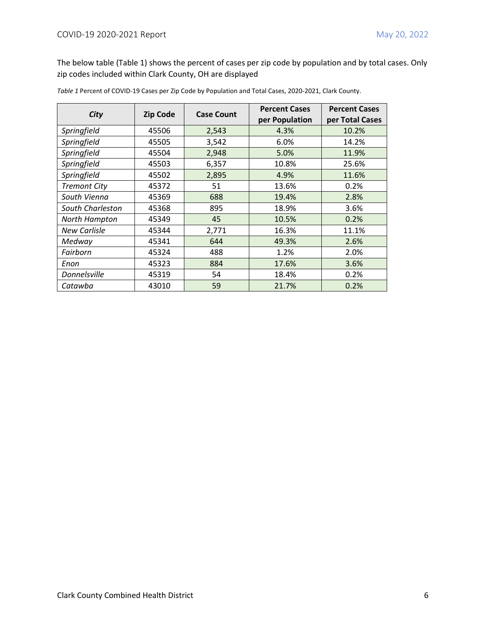The below table (Table 1) shows the percent of cases per zip code by population and by total cases. Only zip codes included within Clark County, OH are displayed

| City                | <b>Zip Code</b> | <b>Case Count</b> | <b>Percent Cases</b> | <b>Percent Cases</b> |  |
|---------------------|-----------------|-------------------|----------------------|----------------------|--|
|                     |                 |                   | per Population       | per Total Cases      |  |
| Springfield         | 45506           | 2,543             | 4.3%                 | 10.2%                |  |
| Springfield         | 45505           | 3,542             | 6.0%                 | 14.2%                |  |
| Springfield         | 45504           | 2,948             | 5.0%                 | 11.9%                |  |
| Springfield         | 45503           | 6,357             | 10.8%                | 25.6%                |  |
| Springfield         | 45502           | 2,895             | 4.9%                 | 11.6%                |  |
| <b>Tremont City</b> | 45372           | 51                | 13.6%                | 0.2%                 |  |
| South Vienna        | 45369           | 688               | 19.4%                | 2.8%                 |  |
| South Charleston    | 45368           | 895               | 18.9%                | 3.6%                 |  |
| North Hampton       | 45349           | 45                | 10.5%                | 0.2%                 |  |
| <b>New Carlisle</b> | 45344           | 2,771             | 16.3%                | 11.1%                |  |
| Medway              | 45341           | 644               | 49.3%                | 2.6%                 |  |
| Fairborn            | 45324           | 488               | 1.2%                 | 2.0%                 |  |
| Enon                | 45323           | 884               | 17.6%                | 3.6%                 |  |
| Donnelsville        | 45319           | 54                | 18.4%                | 0.2%                 |  |
| Catawba             | 43010           | 59                | 21.7%                | 0.2%                 |  |

*Table 1* Percent of COVID-19 Cases per Zip Code by Population and Total Cases, 2020-2021, Clark County.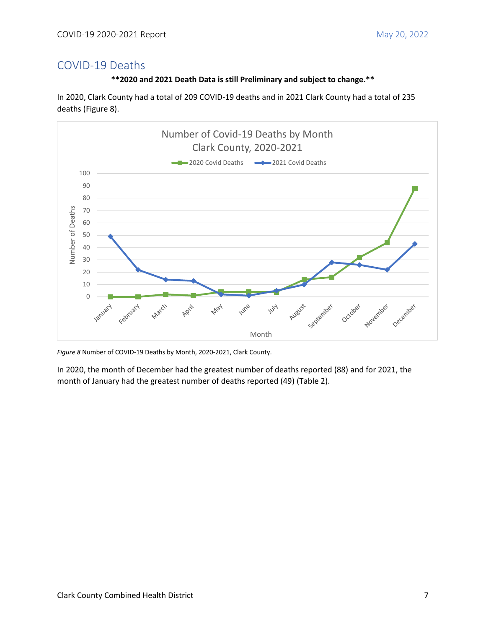### <span id="page-7-0"></span>COVID-19 Deaths



In 2020, Clark County had a total of 209 COVID-19 deaths and in 2021 Clark County had a total of 235 deaths (Figure 8).



*Figure 8* Number of COVID-19 Deaths by Month, 2020-2021, Clark County.

In 2020, the month of December had the greatest number of deaths reported (88) and for 2021, the month of January had the greatest number of deaths reported (49) (Table 2).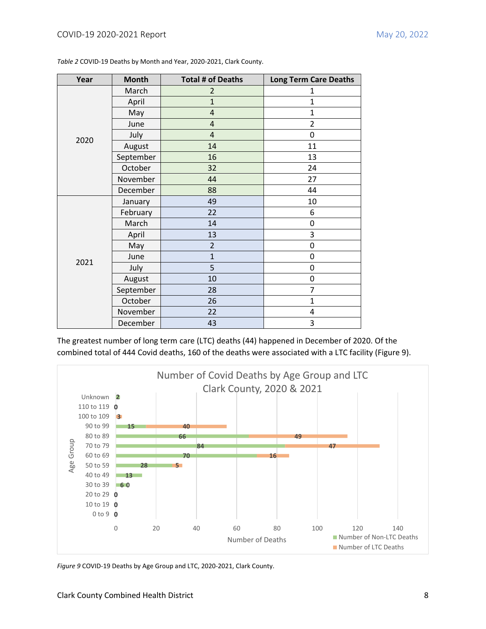| Year | <b>Month</b> | <b>Total # of Deaths</b> | <b>Long Term Care Deaths</b> |
|------|--------------|--------------------------|------------------------------|
|      | March        | $\overline{2}$           | 1                            |
|      | April        | $\mathbf{1}$             | $\mathbf{1}$                 |
|      | May          | $\overline{4}$           | $\mathbf 1$                  |
|      | June         | $\sqrt{4}$               | $\overline{2}$               |
| 2020 | July         | $\overline{4}$           | 0                            |
|      | August       | 14                       | 11                           |
|      | September    | 16                       | 13                           |
|      | October      | 32                       | 24                           |
|      | November     | 44                       | 27                           |
|      | December     | 88                       | 44                           |
|      | January      | 49                       | 10                           |
|      | February     | 22                       | 6                            |
|      | March        | 14                       | $\boldsymbol{0}$             |
|      | April        | 13                       | 3                            |
|      | May          | $\overline{2}$           | 0                            |
|      | June         | $\mathbf{1}$             | $\boldsymbol{0}$             |
| 2021 | July         | 5                        | 0                            |
|      | August       | 10                       | 0                            |
|      | September    | 28                       | 7                            |
|      | October      | 26                       | $\mathbf{1}$                 |
|      | November     | 22                       | 4                            |
|      | December     | 43                       | 3                            |

*Table 2* COVID-19 Deaths by Month and Year, 2020-2021, Clark County.

The greatest number of long term care (LTC) deaths (44) happened in December of 2020. Of the combined total of 444 Covid deaths, 160 of the deaths were associated with a LTC facility (Figure 9).



*Figure 9* COVID-19 Deaths by Age Group and LTC, 2020-2021, Clark County.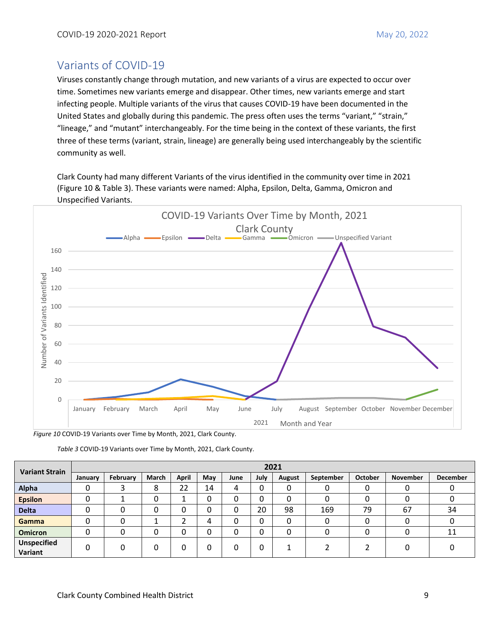## <span id="page-9-0"></span>Variants of COVID-19

Viruses constantly change through mutation, and new variants of a virus are expected to occur over time. Sometimes new variants emerge and disappear. Other times, new variants emerge and start infecting people. Multiple variants of the virus that causes COVID-19 have been documented in the United States and globally during this pandemic. The press often uses the terms "variant," "strain," "lineage," and "mutant" interchangeably. For the time being in the context of these variants, the first three of these terms (variant, strain, lineage) are generally being used interchangeably by the scientific community as well.

Clark County had many different Variants of the virus identified in the community over time in 2021 (Figure 10 & Table 3). These variants were named: Alpha, Epsilon, Delta, Gamma, Omicron and Unspecified Variants.



*Figure 10* COVID-19 Variants over Time by Month, 2021, Clark County.

| <b>Variant Strain</b>         | 2021    |          |        |       |     |      |      |        |           |                |                 |                 |
|-------------------------------|---------|----------|--------|-------|-----|------|------|--------|-----------|----------------|-----------------|-----------------|
|                               | January | February | March  | April | May | June | July | August | September | <b>October</b> | <b>November</b> | <b>December</b> |
| Alpha                         | υ       | э        | o<br>۰ | 22    | 14  | 4    | 0    | 0      |           | 0              | 0               |                 |
| <b>Epsilon</b>                |         |          |        |       | 0   | 0    | 0    | 0      |           |                |                 |                 |
| <b>Delta</b>                  | 0       | 0        | ∩      | 0     | 0   | 0    | 20   | 98     | 169       | 79             | 67              | 34              |
| Gamma                         | 0       | 0        |        |       | 4   | 0    | 0    | 0      |           | 0              | 0               | 0               |
| <b>Omicron</b>                | 0       |          | 0      | 0     | 0   | 0    | 0    | 0      |           | 0              | 0               | 11              |
| <b>Unspecified</b><br>Variant | 0       | 0        |        | 0     | 0   | 0    | 0    |        |           |                | 0               | O               |

*Table 3* COVID-19 Variants over Time by Month, 2021, Clark County.